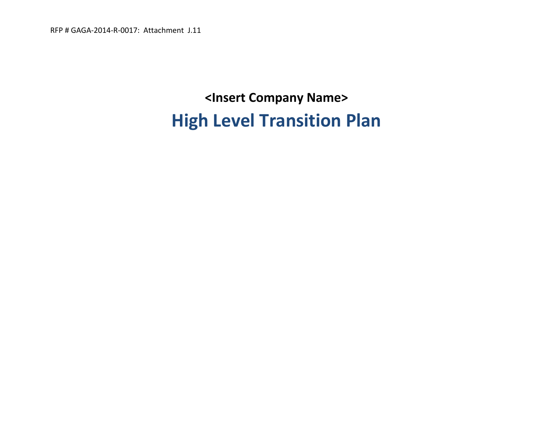RFP # GAGA-2014-R-0017: Attachment J.11

# **<Insert Company Name> High Level Transition Plan**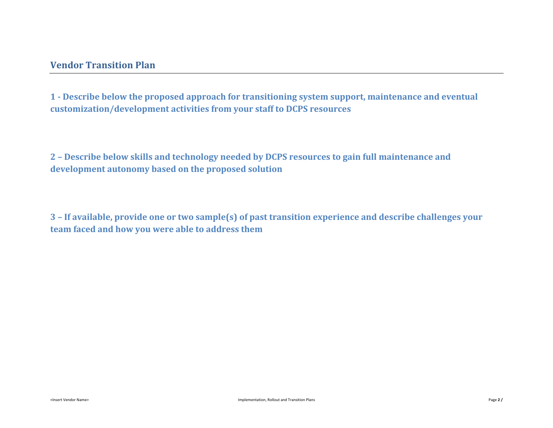**1 - Describe below the proposed approach for transitioning system support, maintenance and eventual customization/development activities from your staff to DCPS resources** 

**2 – Describe below skills and technology needed by DCPS resources to gain full maintenance and development autonomy based on the proposed solution** 

**3 – If available, provide one or two sample(s) of past transition experience and describe challenges your team faced and how you were able to address them**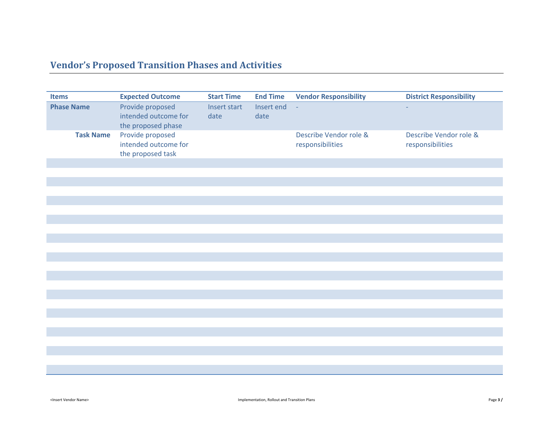## **Vendor's Proposed Transition Phases and Activities**

| <b>Items</b>      | <b>Expected Outcome</b>                                        | <b>Start Time</b>    | <b>End Time</b>    | <b>Vendor Responsibility</b>               | <b>District Responsibility</b>             |
|-------------------|----------------------------------------------------------------|----------------------|--------------------|--------------------------------------------|--------------------------------------------|
| <b>Phase Name</b> | Provide proposed<br>intended outcome for<br>the proposed phase | Insert start<br>date | Insert end<br>date | $\mathcal{L}$                              |                                            |
| <b>Task Name</b>  | Provide proposed<br>intended outcome for<br>the proposed task  |                      |                    | Describe Vendor role &<br>responsibilities | Describe Vendor role &<br>responsibilities |
|                   |                                                                |                      |                    |                                            |                                            |
|                   |                                                                |                      |                    |                                            |                                            |
|                   |                                                                |                      |                    |                                            |                                            |
|                   |                                                                |                      |                    |                                            |                                            |
|                   |                                                                |                      |                    |                                            |                                            |
|                   |                                                                |                      |                    |                                            |                                            |
|                   |                                                                |                      |                    |                                            |                                            |
|                   |                                                                |                      |                    |                                            |                                            |
|                   |                                                                |                      |                    |                                            |                                            |
|                   |                                                                |                      |                    |                                            |                                            |
|                   |                                                                |                      |                    |                                            |                                            |
|                   |                                                                |                      |                    |                                            |                                            |
|                   |                                                                |                      |                    |                                            |                                            |
|                   |                                                                |                      |                    |                                            |                                            |
|                   |                                                                |                      |                    |                                            |                                            |
|                   |                                                                |                      |                    |                                            |                                            |
|                   |                                                                |                      |                    |                                            |                                            |
|                   |                                                                |                      |                    |                                            |                                            |
|                   |                                                                |                      |                    |                                            |                                            |
|                   |                                                                |                      |                    |                                            |                                            |
|                   |                                                                |                      |                    |                                            |                                            |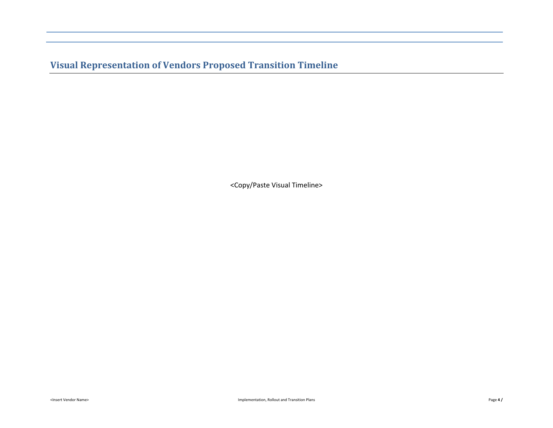**Visual Representation of Vendors Proposed Transition Timeline** 

<Copy/Paste Visual Timeline>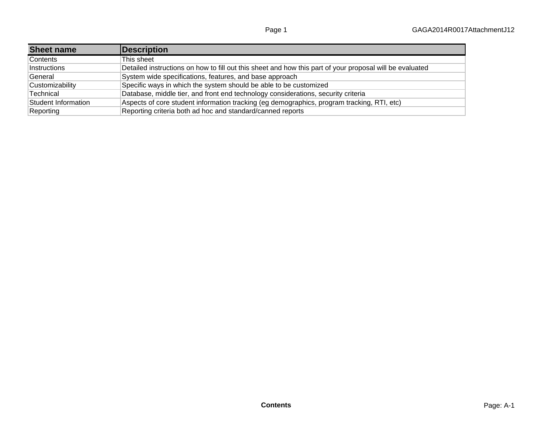| <b>Sheet name</b>   | Description                                                                                              |
|---------------------|----------------------------------------------------------------------------------------------------------|
| Contents            | This sheet                                                                                               |
| Instructions        | Detailed instructions on how to fill out this sheet and how this part of your proposal will be evaluated |
| General             | System wide specifications, features, and base approach                                                  |
| Customizability     | Specific ways in which the system should be able to be customized                                        |
| Technical           | Database, middle tier, and front end technology considerations, security criteria                        |
| Student Information | Aspects of core student information tracking (eg demographics, program tracking, RTI, etc)               |
| Reporting           | Reporting criteria both ad hoc and standard/canned reports                                               |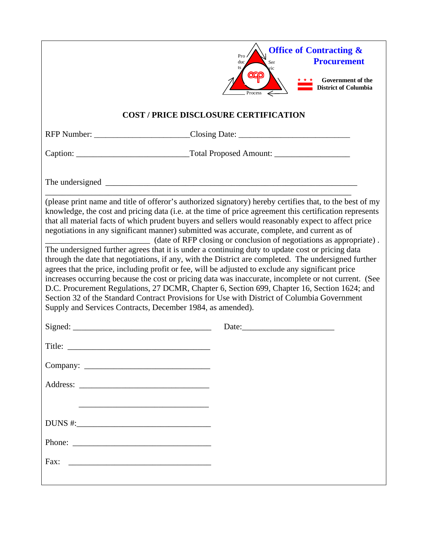|                                                                                                                                 | <b>Office of Contracting &amp;</b><br>Pro<br><b>Procurement</b><br>duc<br>Ser                                                                                                                                                                                                                                                                                                                                                                                                                                                                                                                                                                                                                                                                                                                                                                                                                                                                                                                                                                                                                                            |
|---------------------------------------------------------------------------------------------------------------------------------|--------------------------------------------------------------------------------------------------------------------------------------------------------------------------------------------------------------------------------------------------------------------------------------------------------------------------------------------------------------------------------------------------------------------------------------------------------------------------------------------------------------------------------------------------------------------------------------------------------------------------------------------------------------------------------------------------------------------------------------------------------------------------------------------------------------------------------------------------------------------------------------------------------------------------------------------------------------------------------------------------------------------------------------------------------------------------------------------------------------------------|
|                                                                                                                                 | Government of the<br><b>District of Columbia</b>                                                                                                                                                                                                                                                                                                                                                                                                                                                                                                                                                                                                                                                                                                                                                                                                                                                                                                                                                                                                                                                                         |
|                                                                                                                                 | <b>COST / PRICE DISCLOSURE CERTIFICATION</b>                                                                                                                                                                                                                                                                                                                                                                                                                                                                                                                                                                                                                                                                                                                                                                                                                                                                                                                                                                                                                                                                             |
|                                                                                                                                 | RFP Number: ___________________________Closing Date: ___________________________                                                                                                                                                                                                                                                                                                                                                                                                                                                                                                                                                                                                                                                                                                                                                                                                                                                                                                                                                                                                                                         |
|                                                                                                                                 |                                                                                                                                                                                                                                                                                                                                                                                                                                                                                                                                                                                                                                                                                                                                                                                                                                                                                                                                                                                                                                                                                                                          |
|                                                                                                                                 |                                                                                                                                                                                                                                                                                                                                                                                                                                                                                                                                                                                                                                                                                                                                                                                                                                                                                                                                                                                                                                                                                                                          |
| Supply and Services Contracts, December 1984, as amended).                                                                      | (please print name and title of offeror's authorized signatory) hereby certifies that, to the best of my<br>knowledge, the cost and pricing data (i.e. at the time of price agreement this certification represents<br>that all material facts of which prudent buyers and sellers would reasonably expect to affect price<br>negotiations in any significant manner) submitted was accurate, complete, and current as of<br>(date of RFP closing or conclusion of negotiations as appropriate).<br>The undersigned further agrees that it is under a continuing duty to update cost or pricing data<br>through the date that negotiations, if any, with the District are completed. The undersigned further<br>agrees that the price, including profit or fee, will be adjusted to exclude any significant price<br>increases occurring because the cost or pricing data was inaccurate, incomplete or not current. (See<br>D.C. Procurement Regulations, 27 DCMR, Chapter 6, Section 699, Chapter 16, Section 1624; and<br>Section 32 of the Standard Contract Provisions for Use with District of Columbia Government |
| Signed:                                                                                                                         |                                                                                                                                                                                                                                                                                                                                                                                                                                                                                                                                                                                                                                                                                                                                                                                                                                                                                                                                                                                                                                                                                                                          |
| Title:<br><u> 1989 - Johann John Stein, markin film yn y breninnas y breninnas yr y breninnas yr y breninnas yr y breninnas</u> |                                                                                                                                                                                                                                                                                                                                                                                                                                                                                                                                                                                                                                                                                                                                                                                                                                                                                                                                                                                                                                                                                                                          |
|                                                                                                                                 |                                                                                                                                                                                                                                                                                                                                                                                                                                                                                                                                                                                                                                                                                                                                                                                                                                                                                                                                                                                                                                                                                                                          |
|                                                                                                                                 |                                                                                                                                                                                                                                                                                                                                                                                                                                                                                                                                                                                                                                                                                                                                                                                                                                                                                                                                                                                                                                                                                                                          |
| <u> 1989 - Johann Stoff, amerikansk politiker (* 1908)</u>                                                                      |                                                                                                                                                                                                                                                                                                                                                                                                                                                                                                                                                                                                                                                                                                                                                                                                                                                                                                                                                                                                                                                                                                                          |
|                                                                                                                                 |                                                                                                                                                                                                                                                                                                                                                                                                                                                                                                                                                                                                                                                                                                                                                                                                                                                                                                                                                                                                                                                                                                                          |
| Phone:                                                                                                                          |                                                                                                                                                                                                                                                                                                                                                                                                                                                                                                                                                                                                                                                                                                                                                                                                                                                                                                                                                                                                                                                                                                                          |
| Fax:                                                                                                                            |                                                                                                                                                                                                                                                                                                                                                                                                                                                                                                                                                                                                                                                                                                                                                                                                                                                                                                                                                                                                                                                                                                                          |
|                                                                                                                                 |                                                                                                                                                                                                                                                                                                                                                                                                                                                                                                                                                                                                                                                                                                                                                                                                                                                                                                                                                                                                                                                                                                                          |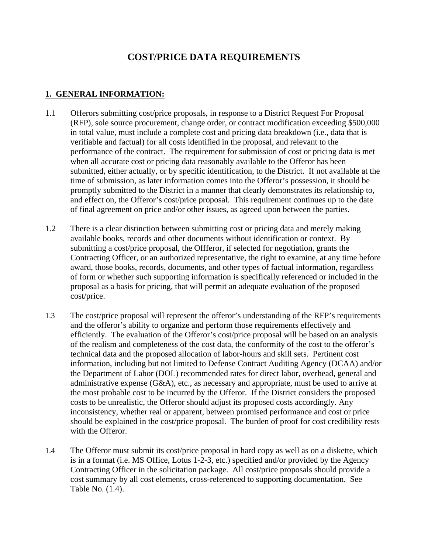### **COST/PRICE DATA REQUIREMENTS**

#### **1. GENERAL INFORMATION:**

- 1.1 Offerors submitting cost/price proposals, in response to a District Request For Proposal (RFP), sole source procurement, change order, or contract modification exceeding \$500,000 in total value, must include a complete cost and pricing data breakdown (i.e., data that is verifiable and factual) for all costs identified in the proposal, and relevant to the performance of the contract. The requirement for submission of cost or pricing data is met when all accurate cost or pricing data reasonably available to the Offeror has been submitted, either actually, or by specific identification, to the District. If not available at the time of submission, as later information comes into the Offeror's possession, it should be promptly submitted to the District in a manner that clearly demonstrates its relationship to, and effect on, the Offeror's cost/price proposal. This requirement continues up to the date of final agreement on price and/or other issues, as agreed upon between the parties.
- 1.2 There is a clear distinction between submitting cost or pricing data and merely making available books, records and other documents without identification or context. By submitting a cost/price proposal, the Offferor, if selected for negotiation, grants the Contracting Officer, or an authorized representative, the right to examine, at any time before award, those books, records, documents, and other types of factual information, regardless of form or whether such supporting information is specifically referenced or included in the proposal as a basis for pricing, that will permit an adequate evaluation of the proposed cost/price.
- 1.3 The cost/price proposal will represent the offeror's understanding of the RFP's requirements and the offeror's ability to organize and perform those requirements effectively and efficiently. The evaluation of the Offeror's cost/price proposal will be based on an analysis of the realism and completeness of the cost data, the conformity of the cost to the offeror's technical data and the proposed allocation of labor-hours and skill sets. Pertinent cost information, including but not limited to Defense Contract Auditing Agency (DCAA) and/or the Department of Labor (DOL) recommended rates for direct labor, overhead, general and administrative expense (G&A), etc., as necessary and appropriate, must be used to arrive at the most probable cost to be incurred by the Offeror. If the District considers the proposed costs to be unrealistic, the Offeror should adjust its proposed costs accordingly. Any inconsistency, whether real or apparent, between promised performance and cost or price should be explained in the cost/price proposal. The burden of proof for cost credibility rests with the Offeror.
- 1.4 The Offeror must submit its cost/price proposal in hard copy as well as on a diskette, which is in a format (i.e. MS Office, Lotus 1-2-3, etc.) specified and/or provided by the Agency Contracting Officer in the solicitation package. All cost/price proposals should provide a cost summary by all cost elements, cross-referenced to supporting documentation. See Table No. (1.4).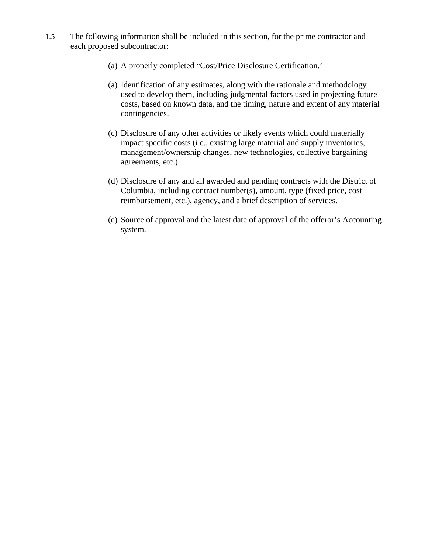- 1.5 The following information shall be included in this section, for the prime contractor and each proposed subcontractor:
	- (a) A properly completed "Cost/Price Disclosure Certification.'
	- (a) Identification of any estimates, along with the rationale and methodology used to develop them, including judgmental factors used in projecting future costs, based on known data, and the timing, nature and extent of any material contingencies.
	- (c) Disclosure of any other activities or likely events which could materially impact specific costs (i.e., existing large material and supply inventories, management/ownership changes, new technologies, collective bargaining agreements, etc.)
	- (d) Disclosure of any and all awarded and pending contracts with the District of Columbia, including contract number(s), amount, type (fixed price, cost reimbursement, etc.), agency, and a brief description of services.
	- (e) Source of approval and the latest date of approval of the offeror's Accounting system.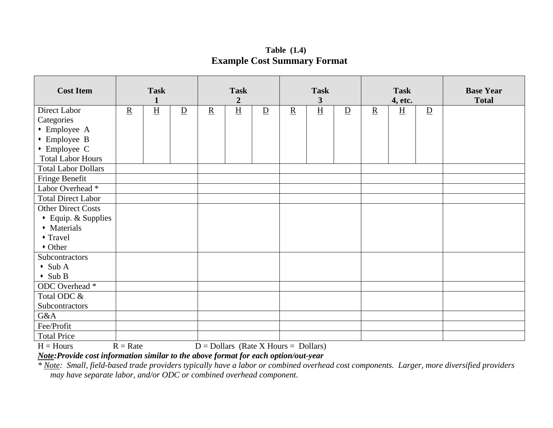**Table (1.4) Example Cost Summary Format** 

| <b>Cost Item</b>                       | <b>Task</b><br>$\mathbf{1}$ |                 | <b>Task</b><br>$\overline{2}$ |                          | <b>Task</b><br>3                        |                | <b>Task</b><br>4, etc. |   |                | <b>Base Year</b><br><b>Total</b> |                 |                |  |
|----------------------------------------|-----------------------------|-----------------|-------------------------------|--------------------------|-----------------------------------------|----------------|------------------------|---|----------------|----------------------------------|-----------------|----------------|--|
| Direct Labor                           | $\underline{\mathbf{R}}$    | $\underline{H}$ | $\overline{D}$                | $\underline{\mathbf{R}}$ | $\underline{H}$                         | $\overline{D}$ | $\underline{R}$        | H | $\overline{D}$ | $\underline{R}$                  | $\underline{H}$ | $\overline{D}$ |  |
| Categories                             |                             |                 |                               |                          |                                         |                |                        |   |                |                                  |                 |                |  |
| • Employee A                           |                             |                 |                               |                          |                                         |                |                        |   |                |                                  |                 |                |  |
| • Employee B                           |                             |                 |                               |                          |                                         |                |                        |   |                |                                  |                 |                |  |
| $\bullet$ Employee C                   |                             |                 |                               |                          |                                         |                |                        |   |                |                                  |                 |                |  |
| <b>Total Labor Hours</b>               |                             |                 |                               |                          |                                         |                |                        |   |                |                                  |                 |                |  |
| <b>Total Labor Dollars</b>             |                             |                 |                               |                          |                                         |                |                        |   |                |                                  |                 |                |  |
| Fringe Benefit                         |                             |                 |                               |                          |                                         |                |                        |   |                |                                  |                 |                |  |
| Labor Overhead *                       |                             |                 |                               |                          |                                         |                |                        |   |                |                                  |                 |                |  |
| <b>Total Direct Labor</b>              |                             |                 |                               |                          |                                         |                |                        |   |                |                                  |                 |                |  |
| <b>Other Direct Costs</b>              |                             |                 |                               |                          |                                         |                |                        |   |                |                                  |                 |                |  |
| • Equip. & Supplies                    |                             |                 |                               |                          |                                         |                |                        |   |                |                                  |                 |                |  |
| • Materials                            |                             |                 |                               |                          |                                         |                |                        |   |                |                                  |                 |                |  |
| • Travel                               |                             |                 |                               |                          |                                         |                |                        |   |                |                                  |                 |                |  |
| • Other                                |                             |                 |                               |                          |                                         |                |                        |   |                |                                  |                 |                |  |
| Subcontractors                         |                             |                 |                               |                          |                                         |                |                        |   |                |                                  |                 |                |  |
| $\bullet$ Sub A                        |                             |                 |                               |                          |                                         |                |                        |   |                |                                  |                 |                |  |
| $\bullet$ Sub B                        |                             |                 |                               |                          |                                         |                |                        |   |                |                                  |                 |                |  |
| ODC Overhead *                         |                             |                 |                               |                          |                                         |                |                        |   |                |                                  |                 |                |  |
| Total ODC &                            |                             |                 |                               |                          |                                         |                |                        |   |                |                                  |                 |                |  |
| Subcontractors                         |                             |                 |                               |                          |                                         |                |                        |   |                |                                  |                 |                |  |
| G&A                                    |                             |                 |                               |                          |                                         |                |                        |   |                |                                  |                 |                |  |
| Fee/Profit                             |                             |                 |                               |                          |                                         |                |                        |   |                |                                  |                 |                |  |
| <b>Total Price</b>                     |                             |                 |                               |                          |                                         |                |                        |   |                |                                  |                 |                |  |
| $H = H_{\alpha\alpha\beta\alpha\beta}$ | $D = D_{\alpha \pm \alpha}$ |                 |                               |                          | $D =$ Dellegg (Dete V Herrie – Dellegg) |                |                        |   |                |                                  |                 |                |  |

 $H =$  Hours  $R =$  Rate  $D =$  Dollars (Rate X Hours = Dollars)

*Note:Provide cost information similar to the above format for each option/out-year* 

*\* Note: Small, field-based trade providers typically have a labor or combined overhead cost components. Larger, more diversified providers may have separate labor, and/or ODC or combined overhead component.*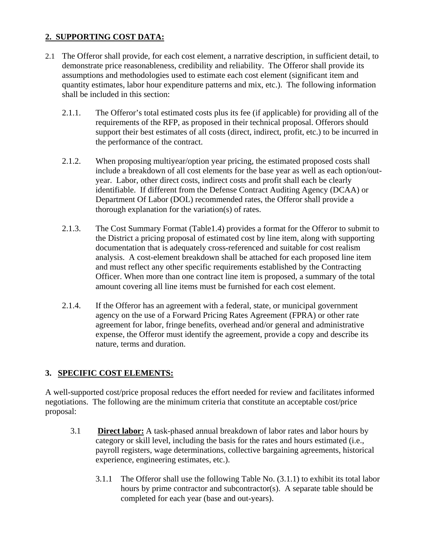#### **2. SUPPORTING COST DATA:**

- 2.1 The Offeror shall provide, for each cost element, a narrative description, in sufficient detail, to demonstrate price reasonableness, credibility and reliability. The Offeror shall provide its assumptions and methodologies used to estimate each cost element (significant item and quantity estimates, labor hour expenditure patterns and mix, etc.). The following information shall be included in this section:
	- 2.1.1. The Offeror's total estimated costs plus its fee (if applicable) for providing all of the requirements of the RFP, as proposed in their technical proposal. Offerors should support their best estimates of all costs (direct, indirect, profit, etc.) to be incurred in the performance of the contract.
	- 2.1.2. When proposing multiyear/option year pricing, the estimated proposed costs shall include a breakdown of all cost elements for the base year as well as each option/outyear. Labor, other direct costs, indirect costs and profit shall each be clearly identifiable. If different from the Defense Contract Auditing Agency (DCAA) or Department Of Labor (DOL) recommended rates, the Offeror shall provide a thorough explanation for the variation(s) of rates.
	- 2.1.3. The Cost Summary Format (Table1.4) provides a format for the Offeror to submit to the District a pricing proposal of estimated cost by line item, along with supporting documentation that is adequately cross-referenced and suitable for cost realism analysis. A cost-element breakdown shall be attached for each proposed line item and must reflect any other specific requirements established by the Contracting Officer. When more than one contract line item is proposed, a summary of the total amount covering all line items must be furnished for each cost element.
	- 2.1.4. If the Offeror has an agreement with a federal, state, or municipal government agency on the use of a Forward Pricing Rates Agreement (FPRA) or other rate agreement for labor, fringe benefits, overhead and/or general and administrative expense, the Offeror must identify the agreement, provide a copy and describe its nature, terms and duration.

#### **3. SPECIFIC COST ELEMENTS:**

A well-supported cost/price proposal reduces the effort needed for review and facilitates informed negotiations. The following are the minimum criteria that constitute an acceptable cost/price proposal:

- 3.1 **Direct labor:** A task-phased annual breakdown of labor rates and labor hours by category or skill level, including the basis for the rates and hours estimated (i.e., payroll registers, wage determinations, collective bargaining agreements, historical experience, engineering estimates, etc.).
	- 3.1.1 The Offeror shall use the following Table No. (3.1.1) to exhibit its total labor hours by prime contractor and subcontractor(s). A separate table should be completed for each year (base and out-years).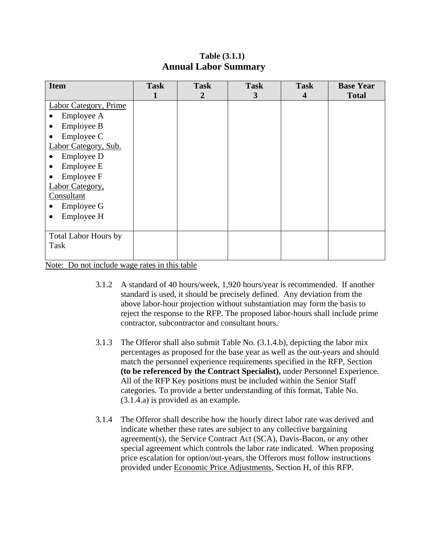#### **Table (3.1.1) Annual Labor Summary**

| <b>Item</b>                 | <b>Task</b> | <b>Task</b>    | <b>Task</b> | <b>Task</b>             | <b>Base Year</b> |
|-----------------------------|-------------|----------------|-------------|-------------------------|------------------|
|                             | 1           | $\overline{2}$ | 3           | $\overline{\mathbf{4}}$ | <b>Total</b>     |
| Labor Category, Prime       |             |                |             |                         |                  |
| Employee A                  |             |                |             |                         |                  |
| Employee B<br>٠             |             |                |             |                         |                  |
| Employee C<br>٠             |             |                |             |                         |                  |
| Labor Category, Sub.        |             |                |             |                         |                  |
| Employee D                  |             |                |             |                         |                  |
| Employee E<br>$\bullet$     |             |                |             |                         |                  |
| Employee F<br>$\bullet$     |             |                |             |                         |                  |
| Labor Category,             |             |                |             |                         |                  |
| Consultant                  |             |                |             |                         |                  |
| Employee G                  |             |                |             |                         |                  |
| Employee H                  |             |                |             |                         |                  |
|                             |             |                |             |                         |                  |
| <b>Total Labor Hours by</b> |             |                |             |                         |                  |
| Task                        |             |                |             |                         |                  |
|                             |             |                |             |                         |                  |

Note: Do not include wage rates in this table

- 3.1.2 A standard of 40 hours/week, 1,920 hours/year is recommended. If another standard is used, it should be precisely defined. Any deviation from the above labor-hour projection without substantiation may form the basis to reject the response to the RFP. The proposed labor-hours shall include prime contractor, subcontractor and consultant hours.
- 3.1.3 The Offeror shall also submit Table No. (3.1.4.b), depicting the labor mix percentages as proposed for the base year as well as the out-years and should match the personnel experience requirements specified in the RFP, Section **(to be referenced by the Contract Specialist),** under Personnel Experience. All of the RFP Key positions must be included within the Senior Staff categories. To provide a better understanding of this format, Table No. (3.1.4.a) is provided as an example.
- 3.1.4 The Offeror shall describe how the hourly direct labor rate was derived and indicate whether these rates are subject to any collective bargaining agreement(s), the Service Contract Act (SCA), Davis-Bacon, or any other special agreement which controls the labor rate indicated. When proposing price escalation for option/out-years, the Offerors must follow instructions provided under Economic Price Adjustments, Section H, of this RFP.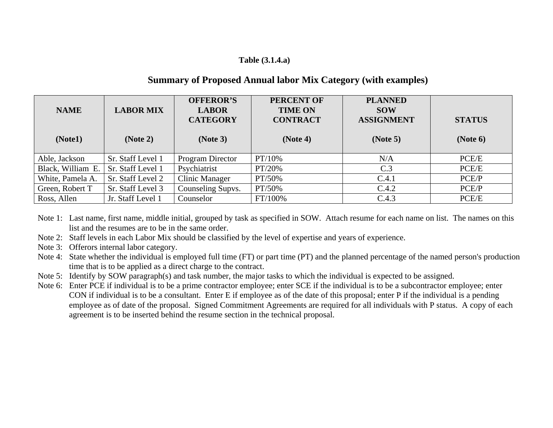#### **Table (3.1.4.a)**

#### **Summary of Proposed Annual labor Mix Category (with examples)**

| <b>NAME</b><br>(Note1) | <b>LABOR MIX</b><br>(Note 2) | <b>OFFEROR'S</b><br><b>LABOR</b><br><b>CATEGORY</b><br>(Note 3) | <b>PERCENT OF</b><br><b>TIME ON</b><br><b>CONTRACT</b><br>(Note 4) | <b>PLANNED</b><br><b>SOW</b><br><b>ASSIGNMENT</b><br>(Note 5) | <b>STATUS</b><br>(Note 6) |
|------------------------|------------------------------|-----------------------------------------------------------------|--------------------------------------------------------------------|---------------------------------------------------------------|---------------------------|
| Able, Jackson          | Sr. Staff Level 1            | <b>Program Director</b>                                         | PT/10%                                                             | N/A                                                           | PCE/E                     |
| Black, William E.      | Sr. Staff Level 1            | Psychiatrist                                                    | PT/20%                                                             | C.3                                                           | PCE/E                     |
| White, Pamela A.       | Sr. Staff Level 2            | Clinic Manager                                                  | PT/50%                                                             | C.4.1                                                         | PCE/P                     |
| Green, Robert T        | Sr. Staff Level 3            | Counseling Supvs.                                               | PT/50%                                                             | C.4.2                                                         | PCE/P                     |
| Ross, Allen            | Jr. Staff Level 1            | Counselor                                                       | FT/100%                                                            | C.4.3                                                         | PCE/E                     |

Note 1: Last name, first name, middle initial, grouped by task as specified in SOW. Attach resume for each name on list. The names on this list and the resumes are to be in the same order.

Note 2: Staff levels in each Labor Mix should be classified by the level of expertise and years of experience.

Note 3: Offerors internal labor category.

- Note 4: State whether the individual is employed full time (FT) or part time (PT) and the planned percentage of the named person's production time that is to be applied as a direct charge to the contract.
- Note 5: Identify by SOW paragraph(s) and task number, the major tasks to which the individual is expected to be assigned.
- Note 6: Enter PCE if individual is to be a prime contractor employee; enter SCE if the individual is to be a subcontractor employee; enter CON if individual is to be a consultant. Enter E if employee as of the date of this proposal; enter P if the individual is a pending employee as of date of the proposal. Signed Commitment Agreements are required for all individuals with P status. A copy of each agreement is to be inserted behind the resume section in the technical proposal.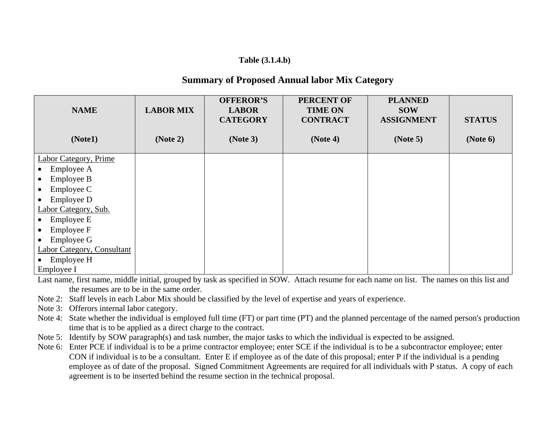#### **Table (3.1.4.b)**

#### **Summary of Proposed Annual labor Mix Category**

| <b>NAME</b><br>(Note1)            | <b>LABOR MIX</b><br>(Note 2) | <b>OFFEROR'S</b><br><b>LABOR</b><br><b>CATEGORY</b><br>(Note 3) | <b>PERCENT OF</b><br><b>TIME ON</b><br><b>CONTRACT</b><br>(Note 4) | <b>PLANNED</b><br><b>SOW</b><br><b>ASSIGNMENT</b><br>(Note 5) | <b>STATUS</b><br>(Note 6) |
|-----------------------------------|------------------------------|-----------------------------------------------------------------|--------------------------------------------------------------------|---------------------------------------------------------------|---------------------------|
| Labor Category, Prime             |                              |                                                                 |                                                                    |                                                               |                           |
| Employee A                        |                              |                                                                 |                                                                    |                                                               |                           |
| Employee B                        |                              |                                                                 |                                                                    |                                                               |                           |
| Employee C<br>$\bullet$           |                              |                                                                 |                                                                    |                                                               |                           |
| Employee D<br>$\bullet$           |                              |                                                                 |                                                                    |                                                               |                           |
| Labor Category, Sub.              |                              |                                                                 |                                                                    |                                                               |                           |
| Employee E<br>$\bullet$           |                              |                                                                 |                                                                    |                                                               |                           |
| Employee F<br>$\bullet$           |                              |                                                                 |                                                                    |                                                               |                           |
| Employee G                        |                              |                                                                 |                                                                    |                                                               |                           |
| <b>Labor Category, Consultant</b> |                              |                                                                 |                                                                    |                                                               |                           |
| Employee H                        |                              |                                                                 |                                                                    |                                                               |                           |
| Employee I                        |                              |                                                                 |                                                                    |                                                               |                           |

Last name, first name, middle initial, grouped by task as specified in SOW. Attach resume for each name on list. The names on this list and the resumes are to be in the same order.

- Note 2: Staff levels in each Labor Mix should be classified by the level of expertise and years of experience.
- Note 3: Offerors internal labor category.
- Note 4: State whether the individual is employed full time (FT) or part time (PT) and the planned percentage of the named person's production time that is to be applied as a direct charge to the contract.
- Note 5: Identify by SOW paragraph(s) and task number, the major tasks to which the individual is expected to be assigned.
- Note 6: Enter PCE if individual is to be a prime contractor employee; enter SCE if the individual is to be a subcontractor employee; enter CON if individual is to be a consultant. Enter E if employee as of the date of this proposal; enter P if the individual is a pending employee as of date of the proposal. Signed Commitment Agreements are required for all individuals with P status. A copy of each agreement is to be inserted behind the resume section in the technical proposal.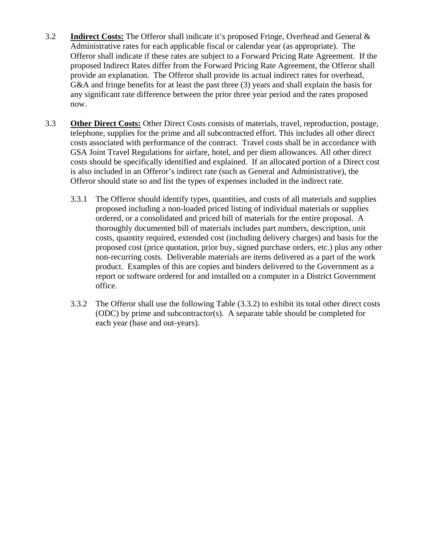- 3.2 **Indirect Costs:** The Offeror shall indicate it's proposed Fringe, Overhead and General & Administrative rates for each applicable fiscal or calendar year (as appropriate). The Offeror shall indicate if these rates are subject to a Forward Pricing Rate Agreement. If the proposed Indirect Rates differ from the Forward Pricing Rate Agreement, the Offeror shall provide an explanation. The Offeror shall provide its actual indirect rates for overhead, G&A and fringe benefits for at least the past three (3) years and shall explain the basis for any significant rate difference between the prior three year period and the rates proposed now.
- 3.3 **Other Direct Costs:** Other Direct Costs consists of materials, travel, reproduction, postage, telephone, supplies for the prime and all subcontracted effort. This includes all other direct costs associated with performance of the contract. Travel costs shall be in accordance with GSA Joint Travel Regulations for airfare, hotel, and per diem allowances. All other direct costs should be specifically identified and explained. If an allocated portion of a Direct cost is also included in an Offeror's indirect rate (such as General and Administrative), the Offeror should state so and list the types of expenses included in the indirect rate.
	- 3.3.1 The Offeror should identify types, quantities, and costs of all materials and supplies proposed including a non-loaded priced listing of individual materials or supplies ordered, or a consolidated and priced bill of materials for the entire proposal. A thoroughly documented bill of materials includes part numbers, description, unit costs, quantity required, extended cost (including delivery charges) and basis for the proposed cost (price quotation, prior buy, signed purchase orders, etc.) plus any other non-recurring costs. Deliverable materials are items delivered as a part of the work product. Examples of this are copies and binders delivered to the Government as a report or software ordered for and installed on a computer in a District Government office.
	- 3.3.2 The Offeror shall use the following Table (3.3.2) to exhibit its total other direct costs (ODC) by prime and subcontractor(s). A separate table should be completed for each year (base and out-years).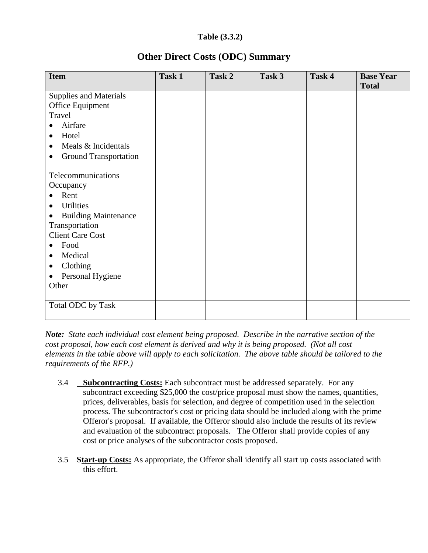#### **Table (3.3.2)**

| <b>Item</b>                      | Task 1 | Task 2 | Task 3 | Task 4 | <b>Base Year</b><br><b>Total</b> |
|----------------------------------|--------|--------|--------|--------|----------------------------------|
| <b>Supplies and Materials</b>    |        |        |        |        |                                  |
| Office Equipment                 |        |        |        |        |                                  |
| Travel                           |        |        |        |        |                                  |
| Airfare                          |        |        |        |        |                                  |
| Hotel<br>$\bullet$               |        |        |        |        |                                  |
| Meals & Incidentals<br>$\bullet$ |        |        |        |        |                                  |
| <b>Ground Transportation</b>     |        |        |        |        |                                  |
|                                  |        |        |        |        |                                  |
| Telecommunications               |        |        |        |        |                                  |
| Occupancy                        |        |        |        |        |                                  |
| Rent<br>$\bullet$                |        |        |        |        |                                  |
| <b>Utilities</b><br>$\bullet$    |        |        |        |        |                                  |
| <b>Building Maintenance</b>      |        |        |        |        |                                  |
| Transportation                   |        |        |        |        |                                  |
| <b>Client Care Cost</b>          |        |        |        |        |                                  |
| Food<br>$\bullet$                |        |        |        |        |                                  |
| Medical<br>$\bullet$             |        |        |        |        |                                  |
| Clothing                         |        |        |        |        |                                  |
| Personal Hygiene                 |        |        |        |        |                                  |
| Other                            |        |        |        |        |                                  |
|                                  |        |        |        |        |                                  |
| Total ODC by Task                |        |        |        |        |                                  |
|                                  |        |        |        |        |                                  |

## **Other Direct Costs (ODC) Summary**

*Note: State each individual cost element being proposed. Describe in the narrative section of the cost proposal, how each cost element is derived and why it is being proposed. (Not all cost elements in the table above will apply to each solicitation. The above table should be tailored to the requirements of the RFP.)* 

- 3.4 **Subcontracting Costs:** Each subcontract must be addressed separately. For any subcontract exceeding \$25,000 the cost/price proposal must show the names, quantities, prices, deliverables, basis for selection, and degree of competition used in the selection process. The subcontractor's cost or pricing data should be included along with the prime Offeror's proposal. If available, the Offeror should also include the results of its review and evaluation of the subcontract proposals. The Offeror shall provide copies of any cost or price analyses of the subcontractor costs proposed.
- 3.5 **Start-up Costs:** As appropriate, the Offeror shall identify all start up costs associated with this effort.